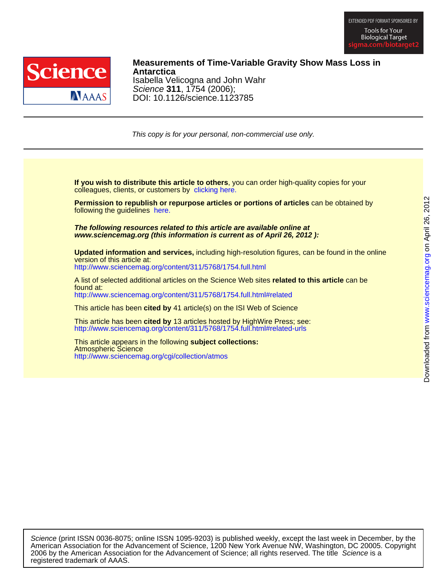

### DOI: 10.1126/science.1123785 Science **311**, 1754 (2006); Isabella Velicogna and John Wahr **Antarctica Measurements of Time-Variable Gravity Show Mass Loss in**

This copy is for your personal, non-commercial use only.

colleagues, clients, or customers by [clicking here.](http://www.sciencemag.org/about/permissions.dtl) **If you wish to distribute this article to others**, you can order high-quality copies for your

following the guidelines [here.](http://www.sciencemag.org/about/permissions.dtl) **Permission to republish or repurpose articles or portions of articles** can be obtained by

**www.sciencemag.org (this information is current as of April 26, 2012 ): The following resources related to this article are available online at**

<http://www.sciencemag.org/content/311/5768/1754.full.html> version of this article at: **Updated information and services,** including high-resolution figures, can be found in the online

A list of selected additional articles on the Science Web sites **related to this article** can be

<http://www.sciencemag.org/content/311/5768/1754.full.html#related> found at:

This article has been **cited by** 41 article(s) on the ISI Web of Science

<http://www.sciencemag.org/content/311/5768/1754.full.html#related-urls> This article has been **cited by** 13 articles hosted by HighWire Press; see:

<http://www.sciencemag.org/cgi/collection/atmos> Atmospheric Science This article appears in the following **subject collections:**

registered trademark of AAAS. 2006 by the American Association for the Advancement of Science; all rights reserved. The title Science is a American Association for the Advancement of Science, 1200 New York Avenue NW, Washington, DC 20005. Copyright Science (print ISSN 0036-8075; online ISSN 1095-9203) is published weekly, except the last week in December, by the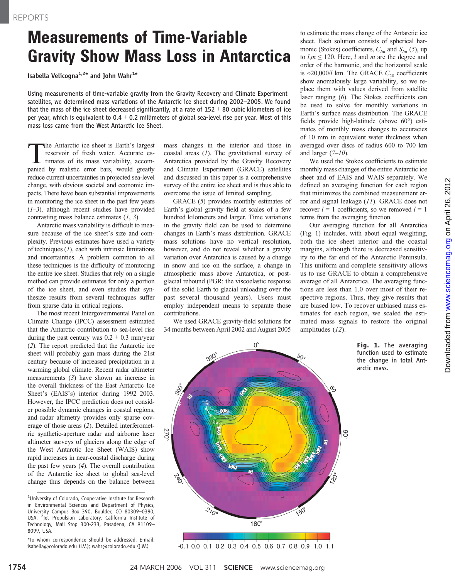# Measurements of Time-Variable Gravity Show Mass Loss in Antarctica

Isabella Velicogna<sup>1,2</sup>\* and John Wahr<sup>1</sup>\*

Using measurements of time-variable gravity from the Gravity Recovery and Climate Experiment satellites, we determined mass variations of the Antarctic ice sheet during 2002–2005. We found that the mass of the ice sheet decreased significantly, at a rate of  $152 \pm 80$  cubic kilometers of ice per year, which is equivalent to 0.4  $\pm$  0.2 millimeters of global sea-level rise per year. Most of this mass loss came from the West Antarctic Ice Sheet.

The Antarctic ice sheet is Earth's largest reservoir of fresh water. Accurate estimates of its mass variability, accompanied by realistic error bars, would greatly reduce current uncertainties in projected sea-level change, with obvious societal and economic impacts. There have been substantial improvements in monitoring the ice sheet in the past few years  $(1-3)$ , although recent studies have provided contrasting mass balance estimates (1, 3).

Antarctic mass variability is difficult to measure because of the ice sheet's size and complexity. Previous estimates have used a variety of techniques  $(1)$ , each with intrinsic limitations and uncertainties. A problem common to all these techniques is the difficulty of monitoring the entire ice sheet. Studies that rely on a single method can provide estimates for only a portion of the ice sheet, and even studies that synthesize results from several techniques suffer from sparse data in critical regions.

The most recent Intergovernmental Panel on Climate Change (IPCC) assessment estimated that the Antarctic contribution to sea-level rise during the past century was  $0.2 \pm 0.3$  mm/year (2). The report predicted that the Antarctic ice sheet will probably gain mass during the 21st century because of increased precipitation in a warming global climate. Recent radar altimeter measurements (3) have shown an increase in the overall thickness of the East Antarctic Ice Sheet's (EAIS's) interior during 1992–2003. However, the IPCC prediction does not consider possible dynamic changes in coastal regions, and radar altimetry provides only sparse coverage of those areas (2). Detailed interferometric synthetic-aperture radar and airborne laser altimeter surveys of glaciers along the edge of the West Antarctic Ice Sheet (WAIS) show rapid increases in near-coastal discharge during the past few years (4). The overall contribution of the Antarctic ice sheet to global sea-level change thus depends on the balance between

mass changes in the interior and those in coastal areas  $(1)$ . The gravitational survey of Antarctica provided by the Gravity Recovery and Climate Experiment (GRACE) satellites and discussed in this paper is a comprehensive survey of the entire ice sheet and is thus able to overcome the issue of limited sampling.

GRACE (5) provides monthly estimates of Earth's global gravity field at scales of a few hundred kilometers and larger. Time variations in the gravity field can be used to determine changes in Earth's mass distribution. GRACE mass solutions have no vertical resolution, however, and do not reveal whether a gravity variation over Antarctica is caused by a change in snow and ice on the surface, a change in atmospheric mass above Antarctica, or postglacial rebound (PGR: the viscoelastic response of the solid Earth to glacial unloading over the past several thousand years). Users must employ independent means to separate those contributions.

We used GRACE gravity-field solutions for 34 months between April 2002 and August 2005

to estimate the mass change of the Antarctic ice sheet. Each solution consists of spherical harmonic (Stokes) coefficients,  $C_{lm}$  and  $S_{lm}$  (5), up to  $l,m \le 120$ . Here, l and m are the degree and order of the harmonic, and the horizontal scale is  $\approx$ 20,000/l km. The GRACE  $C_{20}$  coefficients show anomalously large variability, so we replace them with values derived from satellite laser ranging (6). The Stokes coefficients can be used to solve for monthly variations in Earth's surface mass distribution. The GRACE fields provide high-latitude (above  $60^{\circ}$ ) estimates of monthly mass changes to accuracies of 10 mm in equivalent water thickness when averaged over discs of radius 600 to 700 km and larger  $(7-10)$ .

We used the Stokes coefficients to estimate monthly mass changes of the entire Antarctic ice sheet and of EAIS and WAIS separately. We defined an averaging function for each region that minimizes the combined measurement error and signal leakage (11). GRACE does not recover  $l = 1$  coefficients, so we removed  $l = 1$ terms from the averaging function.

Our averaging function for all Antarctica (Fig. 1) includes, with about equal weighting, both the ice sheet interior and the coastal margins, although there is decreased sensitivity to the far end of the Antarctic Peninsula. This uniform and complete sensitivity allows us to use GRACE to obtain a comprehensive average of all Antarctica. The averaging functions are less than 1.0 over most of their respective regions. Thus, they give results that are biased low. To recover unbiased mass estimates for each region, we scaled the estimated mass signals to restore the original amplitudes (12).

> Fig. 1. The averaging function used to estimate the change in total Antarctic mass.



-0.1 0.0 0.1 0.2 0.3 0.4 0.5 0.6 0.7 0.8 0.9 1.0 1.1

<sup>&</sup>lt;sup>1</sup>University of Colorado, Cooperative Institute for Research in Environmental Sciences and Department of Physics, University Campus Box 390, Boulder, CO 80309–0390, USA. <sup>2</sup>Jet Propulsion Laboratory, California Institute of Technology, Mail Stop 300-233, Pasadena, CA 91109– 8099, USA.

<sup>\*</sup>To whom correspondence should be addressed. E-mail: isabella@colorado.edu (I.V.); wahr@colorado.edu (J.W.)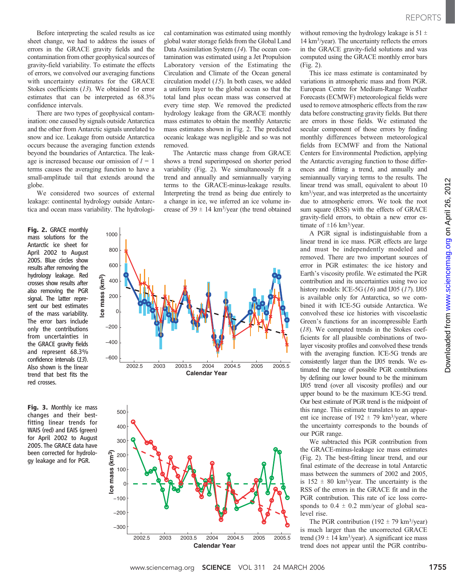Before interpreting the scaled results as ice sheet change, we had to address the issues of errors in the GRACE gravity fields and the contamination from other geophysical sources of gravity-field variability. To estimate the effects of errors, we convolved our averaging functions with uncertainty estimates for the GRACE Stokes coefficients (13). We obtained 1*s* error estimates that can be interpreted as 68.3% confidence intervals.

There are two types of geophysical contamination: one caused by signals outside Antarctica and the other from Antarctic signals unrelated to snow and ice. Leakage from outside Antarctica occurs because the averaging function extends beyond the boundaries of Antarctica. The leakage is increased because our omission of  $l = 1$ terms causes the averaging function to have a small-amplitude tail that extends around the globe.

We considered two sources of external leakage: continental hydrology outside Antarctica and ocean mass variability. The hydrologi-

Fig. 2. GRACE monthly mass solutions for the Antarctic ice sheet for April 2002 to August 2005. Blue circles show results after removing the hydrology leakage. Red crosses show results after also removing the PGR signal. The latter represent our best estimates of the mass variability. The error bars include only the contributions from uncertainties in the GRACE gravity fields and represent 68.3% confidence intervals (13). Also shown is the linear trend that best fits the red crosses.

Fig. 3. Monthly ice mass changes and their bestfitting linear trends for WAIS (red) and EAIS (green) for April 2002 to August 2005. The GRACE data have been corrected for hydrology leakage and for PGR.

cal contamination was estimated using monthly global water storage fields from the Global Land Data Assimilation System (14). The ocean contamination was estimated using a Jet Propulsion Laboratory version of the Estimating the Circulation and Climate of the Ocean general circulation model  $(15)$ . In both cases, we added a uniform layer to the global ocean so that the total land plus ocean mass was conserved at every time step. We removed the predicted hydrology leakage from the GRACE monthly mass estimates to obtain the monthly Antarctic mass estimates shown in Fig. 2. The predicted oceanic leakage was negligible and so was not removed.

The Antarctic mass change from GRACE shows a trend superimposed on shorter period variability (Fig. 2). We simultaneously fit a trend and annually and semiannually varying terms to the GRACE-minus-leakage results. Interpreting the trend as being due entirely to a change in ice, we inferred an ice volume increase of  $39 \pm 14$  km<sup>3</sup>/year (the trend obtained





without removing the hydrology leakage is  $51 \pm$ 14 km3/year). The uncertainty reflects the errors in the GRACE gravity-field solutions and was computed using the GRACE monthly error bars (Fig. 2).

This ice mass estimate is contaminated by variations in atmospheric mass and from PGR. European Centre for Medium-Range Weather Forecasts (ECMWF) meteorological fields were used to remove atmospheric effects from the raw data before constructing gravity fields. But there are errors in those fields. We estimated the secular component of those errors by finding monthly differences between meteorological fields from ECMWF and from the National Centers for Environmental Prediction, applying the Antarctic averaging function to those differences and fitting a trend, and annually and semiannually varying terms to the results. The linear trend was small, equivalent to about 10 km3/year, and was interpreted as the uncertainty due to atmospheric errors. We took the root sum square (RSS) with the effects of GRACE gravity-field errors, to obtain a new error estimate of  $\pm 16$  km<sup>3</sup>/year.

A PGR signal is indistinguishable from a linear trend in ice mass. PGR effects are large and must be independently modeled and removed. There are two important sources of error in PGR estimates: the ice history and Earth's viscosity profile. We estimated the PGR contribution and its uncertainties using two ice history models: ICE-5G (16) and IJ05 (17). IJ05 is available only for Antarctica, so we combined it with ICE-5G outside Antarctica. We convolved these ice histories with viscoelastic Green's functions for an incompressible Earth (18). We computed trends in the Stokes coefficients for all plausible combinations of twolayer viscosity profiles and convolved these trends with the averaging function. ICE-5G trends are consistently larger than the IJ05 trends. We estimated the range of possible PGR contributions by defining our lower bound to be the minimum IJ05 trend (over all viscosity profiles) and our upper bound to be the maximum ICE-5G trend. Our best estimate of PGR trend is the midpoint of this range. This estimate translates to an apparent ice increase of  $192 \pm 79$  km<sup>3</sup>/year, where the uncertainty corresponds to the bounds of our PGR range.

We subtracted this PGR contribution from the GRACE-minus-leakage ice mass estimates (Fig. 2). The best-fitting linear trend, and our final estimate of the decrease in total Antarctic mass between the summers of 2002 and 2005, is  $152 \pm 80$  km<sup>3</sup>/year. The uncertainty is the RSS of the errors in the GRACE fit and in the PGR contribution. This rate of ice loss corresponds to  $0.4 \pm 0.2$  mm/year of global sealevel rise.

The PGR contribution (192  $\pm$  79 km<sup>3</sup>/year) is much larger than the uncorrected GRACE trend (39  $\pm$  14 km<sup>3</sup>/year). A significant ice mass trend does not appear until the PGR contribu-